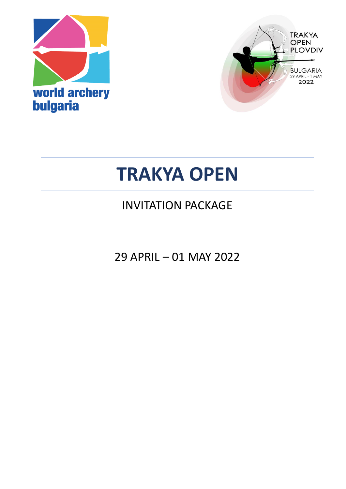



# **TRAKYA OPEN**

# INVITATION PACKAGE

29 APRIL – 01 MAY 2022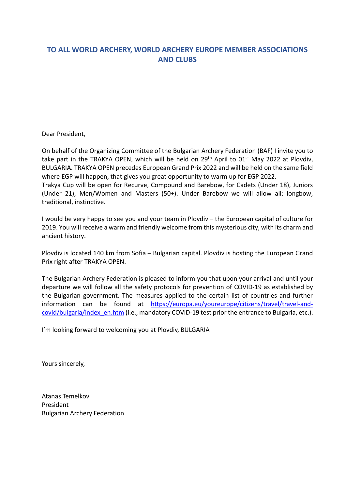### **TO ALL WORLD ARCHERY, WORLD ARCHERY EUROPE MEMBER ASSOCIATIONS AND CLUBS**

Dear President,

On behalf of the Organizing Committee of the Bulgarian Archery Federation (BAF) I invite you to take part in the TRAKYA OPEN, which will be held on 29<sup>th</sup> April to 01<sup>st</sup> May 2022 at Plovdiv, BULGARIA. TRAKYA OPEN precedes European Grand Prix 2022 and will be held on the same field where EGP will happen, that gives you great opportunity to warm up for EGP 2022. Trakya Cup will be open for Recurve, Compound and Barebow, for Cadets (Under 18), Juniors (Under 21), Men/Women and Masters (50+). Under Barebow we will allow all: longbow, traditional, instinctive.

I would be very happy to see you and your team in Plovdiv – the European capital of culture for 2019. You will receive a warm and friendly welcome from this mysterious city, with its charm and ancient history.

Plovdiv is located 140 km from Sofia – Bulgarian capital. Plovdiv is hosting the European Grand Prix right after TRAKYA OPEN.

The Bulgarian Archery Federation is pleased to inform you that upon your arrival and until your departure we will follow all the safety protocols for prevention of COVID-19 as established by the Bulgarian government. The measures applied to the certain list of countries and further information can be found at [https://europa.eu/youreurope/citizens/travel/travel-and](https://europa.eu/youreurope/citizens/travel/travel-and-covid/bulgaria/index_en.htm)[covid/bulgaria/index\\_en.htm](https://europa.eu/youreurope/citizens/travel/travel-and-covid/bulgaria/index_en.htm) (i.e., mandatory COVID-19 test prior the entrance to Bulgaria, etc.).

I'm looking forward to welcoming you at Plovdiv, BULGARIA

Yours sincerely,

Atanas Temelkov President Bulgarian Archery Federation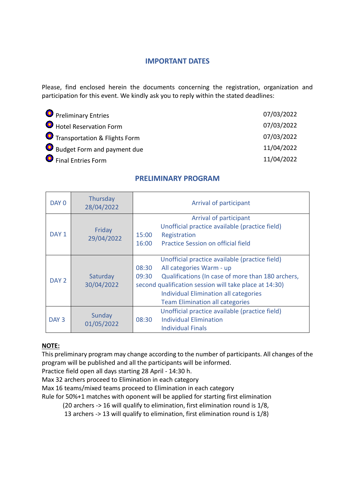#### **IMPORTANT DATES**

Please, find enclosed herein the documents concerning the registration, organization and participation for this event. We kindly ask you to reply within the stated deadlines:

| <b>O</b> Preliminary Entries  | 07/03/2022 |
|-------------------------------|------------|
| Hotel Reservation Form        | 07/03/2022 |
| Transportation & Flights Form | 07/03/2022 |
| Budget Form and payment due   | 11/04/2022 |
| <b>O</b> Final Entries Form   | 11/04/2022 |

#### **PRELIMINARY PROGRAM**

| DAY 0            | Thursday<br>28/04/2022 | Arrival of participant                                                                                                                                                                                                                                                                         |  |  |
|------------------|------------------------|------------------------------------------------------------------------------------------------------------------------------------------------------------------------------------------------------------------------------------------------------------------------------------------------|--|--|
| DAY <sub>1</sub> | Friday<br>29/04/2022   | Arrival of participant<br>Unofficial practice available (practice field)<br>15:00<br>Registration<br><b>Practice Session on official field</b><br>16:00                                                                                                                                        |  |  |
| DAY <sub>2</sub> | Saturday<br>30/04/2022 | Unofficial practice available (practice field)<br>08:30<br>All categories Warm - up<br>Qualifications (In case of more than 180 archers,<br>09:30<br>second qualification session will take place at 14:30)<br>Individual Elimination all categories<br><b>Team Elimination all categories</b> |  |  |
| DAY 3            | Sunday<br>01/05/2022   | Unofficial practice available (practice field)<br><b>Individual Elimination</b><br>08:30<br><b>Individual Finals</b>                                                                                                                                                                           |  |  |

#### **NOTE:**

This preliminary program may change according to the number of participants. All changes of the program will be published and all the participants will be informed.

Practice field open all days starting 28 April - 14:30 h.

Max 32 archers proceed to Elimination in each category

Max 16 teams/mixed teams proceed to Elimination in each category

Rule for 50%+1 matches with oponent will be applied for starting first elimination

(20 archers -> 16 will qualify to elimination, first elimination round is 1/8,

13 archers -> 13 will qualify to elimination, first elimination round is 1/8)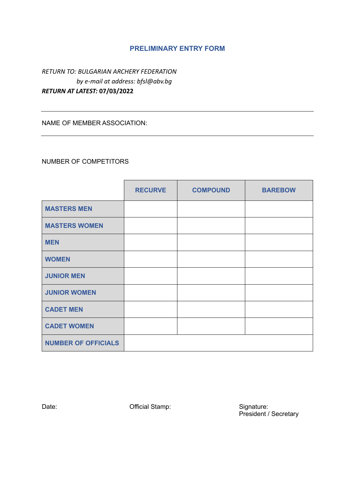#### **PRELIMINARY ENTRY FORM**

*RETURN TO: BULGARIAN ARCHERY FEDERATION by e-mail at address: bfsl@abv.bg RETURN AT LATEST:* **07/03/2022**

NAME OF MEMBER ASSOCIATION:

#### NUMBER OF COMPETITORS

|                            | <b>RECURVE</b> | <b>COMPOUND</b> | <b>BAREBOW</b> |
|----------------------------|----------------|-----------------|----------------|
| <b>MASTERS MEN</b>         |                |                 |                |
| <b>MASTERS WOMEN</b>       |                |                 |                |
| <b>MEN</b>                 |                |                 |                |
| <b>WOMEN</b>               |                |                 |                |
| <b>JUNIOR MEN</b>          |                |                 |                |
| <b>JUNIOR WOMEN</b>        |                |                 |                |
| <b>CADET MEN</b>           |                |                 |                |
| <b>CADET WOMEN</b>         |                |                 |                |
| <b>NUMBER OF OFFICIALS</b> |                |                 |                |

Date: Channel Controller Controller Controller Controller Controller Controller Controller Controller Controller Controller Controller Controller Controller Controller Controller Controller Controller Controller Controller

Signature:<br>President / Secretary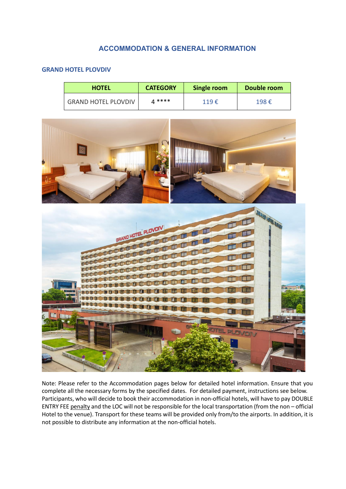#### **ACCOMMODATION & GENERAL INFORMATION**

#### **GRAND HOTEL PLOVDIV**

| <b>HOTEL</b>               | <b>CATEGORY</b> | Single room     | Double room |
|----------------------------|-----------------|-----------------|-------------|
| <b>GRAND HOTEL PLOVDIV</b> | A ****          | $119 \text{ E}$ | 198€        |



Note: Please refer to the Accommodation pages below for detailed hotel information. Ensure that you complete all the necessary forms by the specified dates. For detailed payment, instructions see below. Participants, who will decide to book their accommodation in non-official hotels, will have to pay DOUBLE ENTRY FEE penalty and the LOC will not be responsible for the local transportation (from the non – official Hotel to the venue). Transport for these teams will be provided only from/to the airports. In addition, it is not possible to distribute any information at the non-official hotels.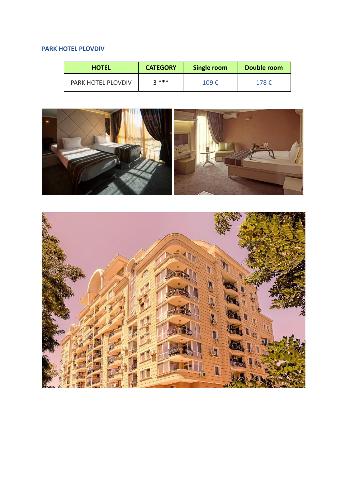#### **PARK HOTEL PLOVDIV**

| <b>HOTEL</b>              | <b>CATEGORY</b> | Single room    | Double room |
|---------------------------|-----------------|----------------|-------------|
| <b>PARK HOTEL PLOVDIV</b> | $2***$          | 109 $\epsilon$ | 178€        |



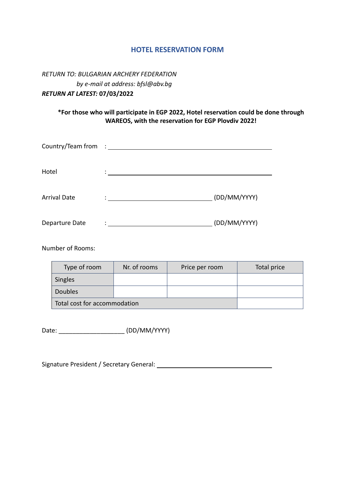#### **HOTEL RESERVATION FORM**

*RETURN TO: BULGARIAN ARCHERY FEDERATION by e-mail at address: bfsl@abv.bg RETURN AT LATEST:* **07/03/2022**

#### **\*For those who will participate in EGP 2022, Hotel reservation could be done through WAREOS, with the reservation for EGP Plovdiv 2022!**

| Country/Team from : ______ |               |              |
|----------------------------|---------------|--------------|
| Hotel                      | ٠             |              |
| <b>Arrival Date</b>        | $\mathcal{L}$ | (DD/MM/YYYY) |
| Departure Date             | ٠             | (DD/MM/YYYY) |

Number of Rooms:

| Type of room                 | Nr. of rooms | Price per room | Total price |
|------------------------------|--------------|----------------|-------------|
| Singles                      |              |                |             |
| <b>Doubles</b>               |              |                |             |
| Total cost for accommodation |              |                |             |

Date: \_\_\_\_\_\_\_\_\_\_\_\_\_\_\_\_\_\_\_ (DD/MM/YYYY)

Signature President / Secretary General: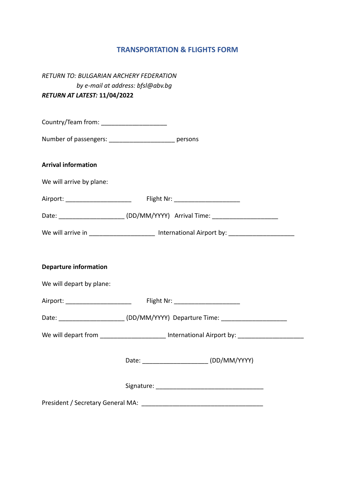### **TRANSPORTATION & FLIGHTS FORM**

| RETURN TO: BULGARIAN ARCHERY FEDERATION                                          |                                   |                                                                                                     |  |
|----------------------------------------------------------------------------------|-----------------------------------|-----------------------------------------------------------------------------------------------------|--|
|                                                                                  | by e-mail at address: bfsl@abv.bg |                                                                                                     |  |
| RETURN AT LATEST: 11/04/2022                                                     |                                   |                                                                                                     |  |
|                                                                                  |                                   |                                                                                                     |  |
| Country/Team from: ______________________                                        |                                   |                                                                                                     |  |
| Number of passengers: ________________________ persons                           |                                   |                                                                                                     |  |
| <b>Arrival information</b>                                                       |                                   |                                                                                                     |  |
| We will arrive by plane:                                                         |                                   |                                                                                                     |  |
| Airport: ___________________________  Flight Nr: _________________________       |                                   |                                                                                                     |  |
|                                                                                  |                                   | Date: ______________________(DD/MM/YYYY) Arrival Time: _________________________                    |  |
|                                                                                  |                                   | We will arrive in ________________________ International Airport by: ______________________________ |  |
|                                                                                  |                                   |                                                                                                     |  |
| <b>Departure information</b>                                                     |                                   |                                                                                                     |  |
| We will depart by plane:                                                         |                                   |                                                                                                     |  |
| Airport: ____________________________  Flight Nr: ______________________________ |                                   |                                                                                                     |  |
|                                                                                  |                                   | Date: ______________________(DD/MM/YYYY) Departure Time: _______________________                    |  |
|                                                                                  |                                   | We will depart from ______________________ International Airport by: __________________             |  |
|                                                                                  |                                   |                                                                                                     |  |
|                                                                                  |                                   |                                                                                                     |  |
|                                                                                  |                                   |                                                                                                     |  |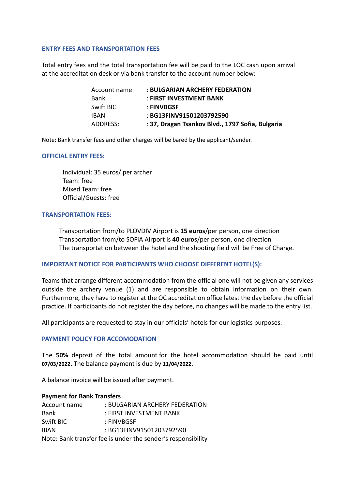#### **ENTRY FEES AND TRANSPORTATION FEES**

Total entry fees and the total transportation fee will be paid to the LOC cash upon arrival at the accreditation desk or via bank transfer to the account number below:

| Account name | : BULGARIAN ARCHERY FEDERATION                   |
|--------------|--------------------------------------------------|
| Bank         | : FIRST INVESTMENT BANK                          |
| Swift BIC    | : FINVBGSF                                       |
| IBAN         | : BG13FINV91501203792590                         |
| ADDRESS:     | : 37, Dragan Tsankov Blvd., 1797 Sofia, Bulgaria |

Note: Bank transfer fees and other charges will be bared by the applicant/sender.

#### **OFFICIAL ENTRY FEES:**

Individual: 35 euros/ per archer Team: free Mixed Team: free Official/Guests: free

#### **TRANSPORTATION FEES:**

Transportation from/to PLOVDIV Airport is **15 euros**/per person, one direction Transportation from/to SOFIA Airport is **40 euros**/per person, one direction The transportation between the hotel and the shooting field will be Free of Charge.

#### **IMPORTANT NOTICE FOR PARTICIPANTS WHO CHOOSE DIFFERENT HOTEL(S):**

Teams that arrange different accommodation from the official one will not be given any services outside the archery venue (1) and are responsible to obtain information on their own. Furthermore, they have to register at the OC accreditation office latest the day before the official practice. If participants do not register the day before, no changes will be made to the entry list.

All participants are requested to stay in our officials' hotels for our logistics purposes.

#### **PAYMENT POLICY FOR ACCOMODATION**

The **50%** deposit of the total amount for the hotel accommodation should be paid until **07/03/2022.** The balance payment is due by **11/04/2022.**

A balance invoice will be issued after payment.

#### **Payment for Bank Transfers**

| Account name                                                 | : BULGARIAN ARCHERY FEDERATION |  |  |
|--------------------------------------------------------------|--------------------------------|--|--|
| Bank                                                         | : FIRST INVESTMENT BANK        |  |  |
| Swift BIC                                                    | : FINVBGSF                     |  |  |
| <b>IBAN</b>                                                  | : BG13FINV91501203792590       |  |  |
| Note: Bank transfer fee is under the sender's responsibility |                                |  |  |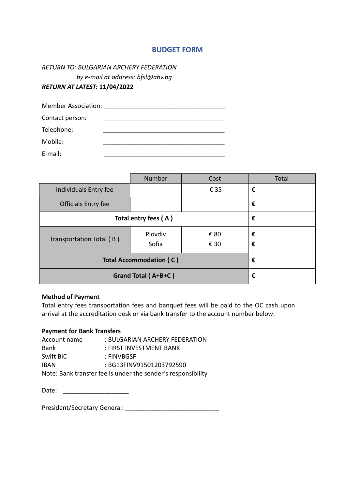#### **BUDGET FORM**

#### *RETURN TO: BULGARIAN ARCHERY FEDERATION by e-mail at address: bfsl@abv.bg RETURN AT LATEST:* **11/04/2022**

| <b>Member Association:</b> |  |
|----------------------------|--|
| Contact person:            |  |
| Telephone:                 |  |
| Mobile:                    |  |
| E-mail:                    |  |

|                                | Number           | Cost         | Total  |
|--------------------------------|------------------|--------------|--------|
| Individuals Entry fee          |                  | € 35         | €      |
| Officials Entry fee            |                  |              | €      |
| Total entry fees (A)           |                  |              | €      |
| Transportation Total (B)       | Plovdiv<br>Sofia | € 80<br>€ 30 | €<br>€ |
|                                |                  |              | €      |
| <b>Total Accommodation (C)</b> |                  |              |        |
| Grand Total (A+B+C)            |                  |              | €      |

#### **Method of Payment**

Total entry fees transportation fees and banquet fees will be paid to the OC cash upon arrival at the accreditation desk or via bank transfer to the account number below:

#### **Payment for Bank Transfers**

| Account name | : BULGARIAN ARCHERY FEDERATION                               |
|--------------|--------------------------------------------------------------|
| Bank         | : FIRST INVESTMENT BANK                                      |
| Swift BIC    | : FINVBGSF                                                   |
| <b>IBAN</b>  | : BG13FINV91501203792590                                     |
|              | Note: Bank transfer fee is under the sender's responsibility |

Date: \_\_\_\_\_\_\_\_\_\_\_\_\_\_\_\_\_\_\_

President/Secretary General: \_\_\_\_\_\_\_\_\_\_\_\_\_\_\_\_\_\_\_\_\_\_\_\_\_\_\_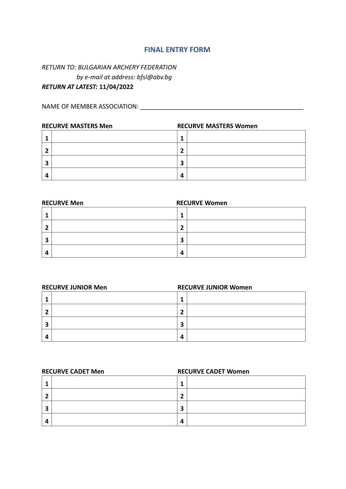#### **FINAL ENTRY FORM**

#### *RETURN TO: BULGARIAN ARCHERY FEDERATION by e-mail at address: bfsl@abv.bg RETURN AT LATEST:* **11/04/2022**

NAME OF MEMBER ASSOCIATION: \_\_\_\_\_\_\_\_\_\_\_\_\_\_\_\_\_\_\_\_\_\_\_\_\_\_\_\_\_\_\_\_\_\_\_\_\_\_\_\_\_\_\_\_\_\_\_

| <b>RECURVE MASTERS Men</b> |  | <b>RECURVE MASTERS Women</b> |  |  |
|----------------------------|--|------------------------------|--|--|
|                            |  |                              |  |  |
|                            |  |                              |  |  |
|                            |  | э                            |  |  |
|                            |  | 4                            |  |  |

#### **RECURVE Men** RECURVE Women

| э | э |  |
|---|---|--|
|   | 4 |  |

|   | <b>RECURVE JUNIOR Men</b> | <b>RECURVE JUNIOR Women</b> |  |
|---|---------------------------|-----------------------------|--|
|   |                           |                             |  |
| п |                           | -                           |  |
| э |                           | 3                           |  |
|   |                           | $\mathbf{a}$                |  |

|   | <b>RECURVE CADET Men</b> | <b>RECURVE CADET Women</b> |  |
|---|--------------------------|----------------------------|--|
|   |                          |                            |  |
|   |                          | п                          |  |
| э |                          | э                          |  |
| Δ |                          | Δ                          |  |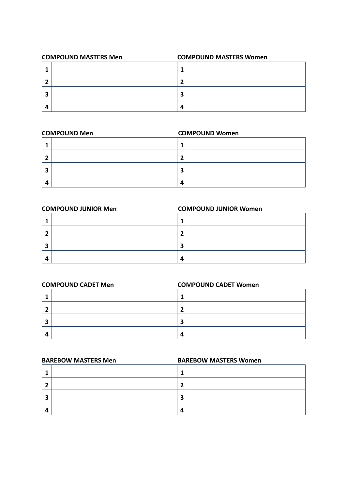| <b>COMPOUND MASTERS Men</b> | <b>COMPOUND MASTERS Women</b> |
|-----------------------------|-------------------------------|
|                             |                               |
|                             |                               |
|                             | э<br>Р                        |
|                             | 4                             |

## **COMPOUND Men COMPOUND Women 1 2 3 4**

|        | <b>COMPOUND JUNIOR Men</b> | <b>COMPOUND JUNIOR Women</b> |  |
|--------|----------------------------|------------------------------|--|
|        |                            |                              |  |
|        |                            | -1                           |  |
| э<br>P |                            | э                            |  |
|        |                            | 4                            |  |

|   | <b>COMPOUND CADET Men</b> | <b>COMPOUND CADET Women</b> |  |
|---|---------------------------|-----------------------------|--|
|   |                           |                             |  |
|   |                           | 7                           |  |
| э |                           | 3                           |  |
|   |                           | 4                           |  |

| <b>BAREBOW MASTERS Men</b> |  | <b>BAREBOW MASTERS Women</b> |  |  |
|----------------------------|--|------------------------------|--|--|
|                            |  |                              |  |  |
|                            |  | 7                            |  |  |
| э                          |  | 3                            |  |  |
|                            |  | 4                            |  |  |